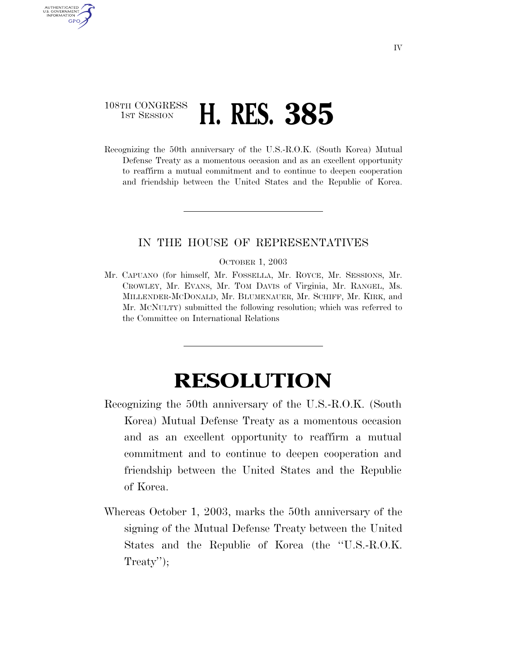## 108TH CONGRESS **1ST SESSION H. RES. 385**

AUTHENTICATED U.S. GOVERNMENT **GPO** 

> Recognizing the 50th anniversary of the U.S.-R.O.K. (South Korea) Mutual Defense Treaty as a momentous occasion and as an excellent opportunity to reaffirm a mutual commitment and to continue to deepen cooperation and friendship between the United States and the Republic of Korea.

## IN THE HOUSE OF REPRESENTATIVES

## OCTOBER 1, 2003

Mr. CAPUANO (for himself, Mr. FOSSELLA, Mr. ROYCE, Mr. SESSIONS, Mr. CROWLEY, Mr. EVANS, Mr. TOM DAVIS of Virginia, Mr. RANGEL, Ms. MILLENDER-MCDONALD, Mr. BLUMENAUER, Mr. SCHIFF, Mr. KIRK, and Mr. MCNULTY) submitted the following resolution; which was referred to the Committee on International Relations

## **RESOLUTION**

- Recognizing the 50th anniversary of the U.S.-R.O.K. (South Korea) Mutual Defense Treaty as a momentous occasion and as an excellent opportunity to reaffirm a mutual commitment and to continue to deepen cooperation and friendship between the United States and the Republic of Korea.
- Whereas October 1, 2003, marks the 50th anniversary of the signing of the Mutual Defense Treaty between the United States and the Republic of Korea (the ''U.S.-R.O.K. Treaty");